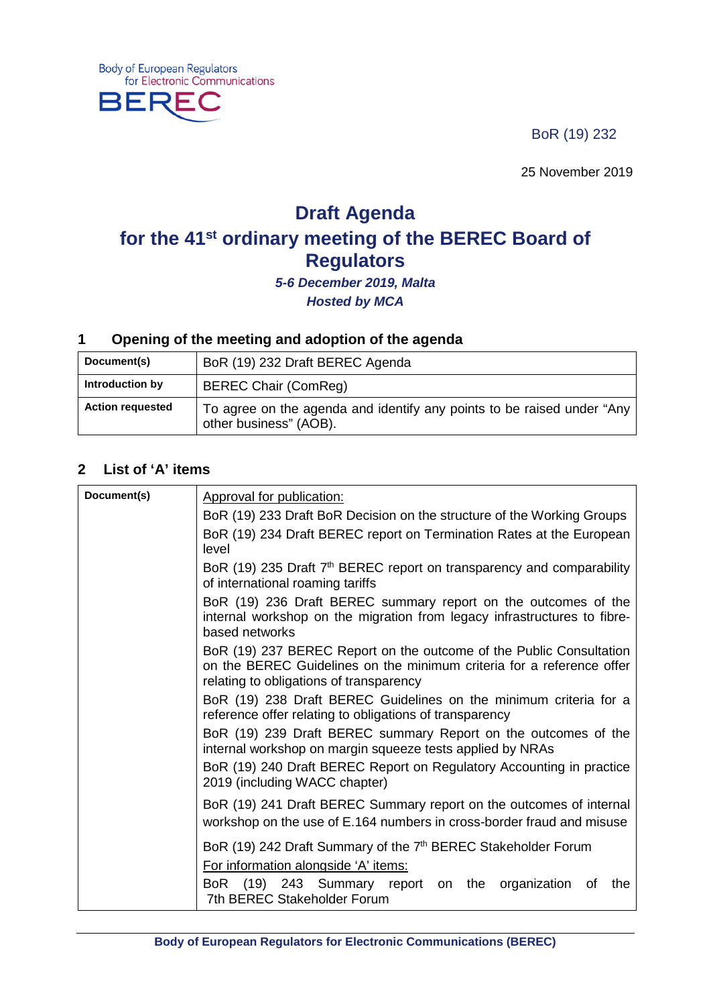BoR (19) 232

25 November 2019

# **Draft Agenda for the 41st ordinary meeting of the BEREC Board of Regulators**

*5-6 December 2019, Malta Hosted by MCA*

#### **1 Opening of the meeting and adoption of the agenda**

| Document(s)             | BoR (19) 232 Draft BEREC Agenda                                                                  |
|-------------------------|--------------------------------------------------------------------------------------------------|
| Introduction by         | <b>BEREC Chair (ComReg)</b>                                                                      |
| <b>Action requested</b> | To agree on the agenda and identify any points to be raised under "Any<br>other business" (AOB). |

#### **2 List of 'A' items**

**Body of European Regulators** 

**BERE** 

for Electronic Communications

| Document(s) | Approval for publication:                                                                                                                                                               |
|-------------|-----------------------------------------------------------------------------------------------------------------------------------------------------------------------------------------|
|             | BoR (19) 233 Draft BoR Decision on the structure of the Working Groups                                                                                                                  |
|             | BoR (19) 234 Draft BEREC report on Termination Rates at the European<br>level                                                                                                           |
|             | BoR (19) 235 Draft 7 <sup>th</sup> BEREC report on transparency and comparability<br>of international roaming tariffs                                                                   |
|             | BoR (19) 236 Draft BEREC summary report on the outcomes of the<br>internal workshop on the migration from legacy infrastructures to fibre-<br>based networks                            |
|             | BoR (19) 237 BEREC Report on the outcome of the Public Consultation<br>on the BEREC Guidelines on the minimum criteria for a reference offer<br>relating to obligations of transparency |
|             | BoR (19) 238 Draft BEREC Guidelines on the minimum criteria for a<br>reference offer relating to obligations of transparency                                                            |
|             | BoR (19) 239 Draft BEREC summary Report on the outcomes of the<br>internal workshop on margin squeeze tests applied by NRAs                                                             |
|             | BoR (19) 240 Draft BEREC Report on Regulatory Accounting in practice<br>2019 (including WACC chapter)                                                                                   |
|             | BoR (19) 241 Draft BEREC Summary report on the outcomes of internal<br>workshop on the use of E.164 numbers in cross-border fraud and misuse                                            |
|             | BoR (19) 242 Draft Summary of the 7 <sup>th</sup> BEREC Stakeholder Forum                                                                                                               |
|             | For information alongside 'A' items:                                                                                                                                                    |
|             | BoR (19) 243 Summary report on the organization of<br>the<br>7th BEREC Stakeholder Forum                                                                                                |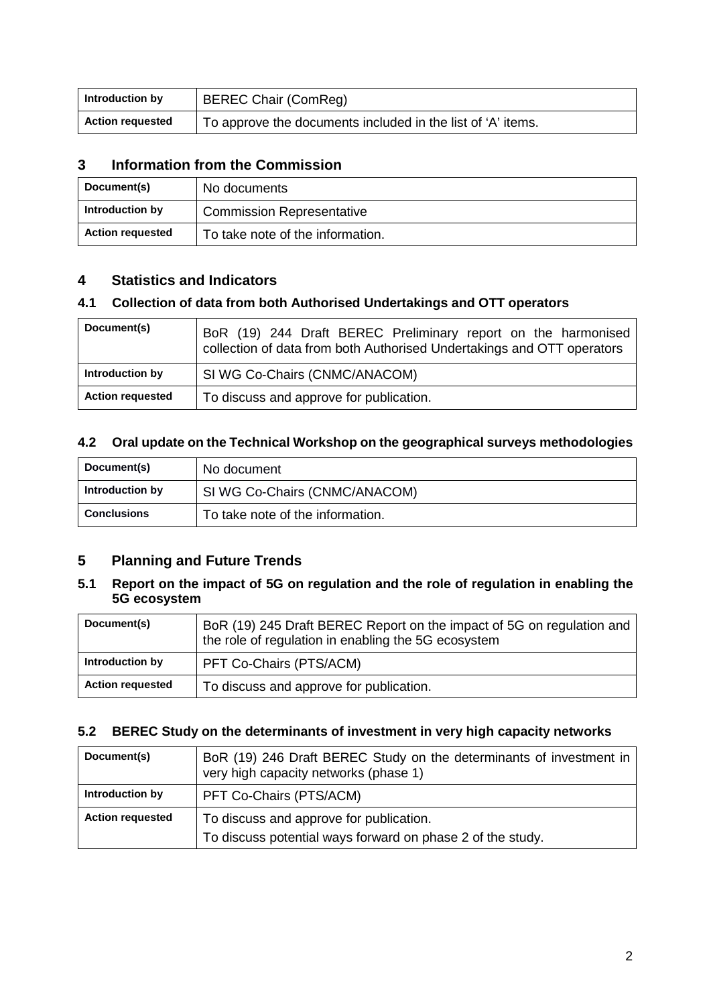| Introduction by         | <b>BEREC Chair (ComReg)</b>                                 |
|-------------------------|-------------------------------------------------------------|
| <b>Action requested</b> | To approve the documents included in the list of 'A' items. |

#### **3 Information from the Commission**

| Document(s)             | No documents                     |
|-------------------------|----------------------------------|
| Introduction by         | <b>Commission Representative</b> |
| <b>Action requested</b> | To take note of the information. |

#### **4 Statistics and Indicators**

#### **4.1 Collection of data from both Authorised Undertakings and OTT operators**

| Document(s)             | BoR (19) 244 Draft BEREC Preliminary report on the harmonised<br>collection of data from both Authorised Undertakings and OTT operators |
|-------------------------|-----------------------------------------------------------------------------------------------------------------------------------------|
| Introduction by         | SI WG Co-Chairs (CNMC/ANACOM)                                                                                                           |
| <b>Action requested</b> | To discuss and approve for publication.                                                                                                 |

#### **4.2 Oral update on the Technical Workshop on the geographical surveys methodologies**

| Document(s)        | No document                      |
|--------------------|----------------------------------|
| Introduction by    | SI WG Co-Chairs (CNMC/ANACOM)    |
| <b>Conclusions</b> | To take note of the information. |

#### **5 Planning and Future Trends**

#### **5.1 Report on the impact of 5G on regulation and the role of regulation in enabling the 5G ecosystem**

| Document(s)             | BoR (19) 245 Draft BEREC Report on the impact of 5G on regulation and<br>the role of regulation in enabling the 5G ecosystem |
|-------------------------|------------------------------------------------------------------------------------------------------------------------------|
| Introduction by         | PFT Co-Chairs (PTS/ACM)                                                                                                      |
| <b>Action requested</b> | To discuss and approve for publication.                                                                                      |

#### **5.2 BEREC Study on the determinants of investment in very high capacity networks**

| Document(s)             | BoR (19) 246 Draft BEREC Study on the determinants of investment in<br>very high capacity networks (phase 1) |
|-------------------------|--------------------------------------------------------------------------------------------------------------|
| Introduction by         | PFT Co-Chairs (PTS/ACM)                                                                                      |
| <b>Action requested</b> | To discuss and approve for publication.<br>To discuss potential ways forward on phase 2 of the study.        |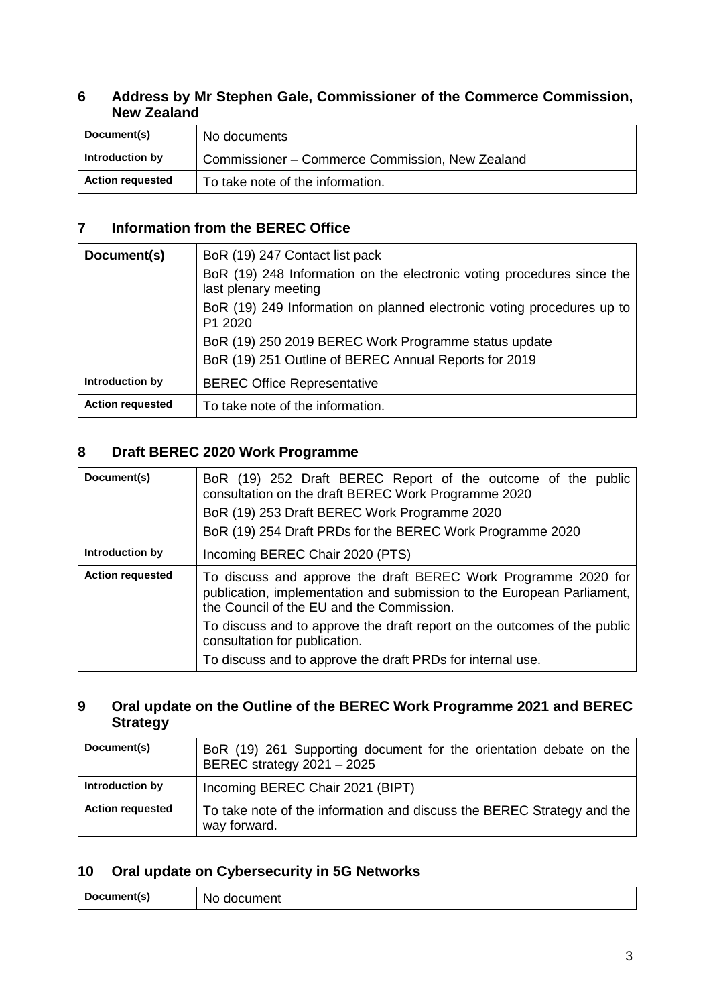#### **6 Address by Mr Stephen Gale, Commissioner of the Commerce Commission, New Zealand**

| Document(s)             | No documents                                    |
|-------------------------|-------------------------------------------------|
| Introduction by         | Commissioner – Commerce Commission, New Zealand |
| <b>Action requested</b> | To take note of the information.                |

### **7 Information from the BEREC Office**

| Document(s)             | BoR (19) 247 Contact list pack                                                                 |
|-------------------------|------------------------------------------------------------------------------------------------|
|                         | BoR (19) 248 Information on the electronic voting procedures since the<br>last plenary meeting |
|                         | BoR (19) 249 Information on planned electronic voting procedures up to<br>P1 2020              |
|                         | BoR (19) 250 2019 BEREC Work Programme status update                                           |
|                         | BoR (19) 251 Outline of BEREC Annual Reports for 2019                                          |
| Introduction by         | <b>BEREC Office Representative</b>                                                             |
| <b>Action requested</b> | To take note of the information.                                                               |

### **8 Draft BEREC 2020 Work Programme**

| Document(s)             | BoR (19) 252 Draft BEREC Report of the outcome of the public<br>consultation on the draft BEREC Work Programme 2020<br>BoR (19) 253 Draft BEREC Work Programme 2020<br>BoR (19) 254 Draft PRDs for the BEREC Work Programme 2020 |
|-------------------------|----------------------------------------------------------------------------------------------------------------------------------------------------------------------------------------------------------------------------------|
| Introduction by         | Incoming BEREC Chair 2020 (PTS)                                                                                                                                                                                                  |
| <b>Action requested</b> | To discuss and approve the draft BEREC Work Programme 2020 for<br>publication, implementation and submission to the European Parliament,<br>the Council of the EU and the Commission.                                            |
|                         | To discuss and to approve the draft report on the outcomes of the public<br>consultation for publication.                                                                                                                        |
|                         | To discuss and to approve the draft PRDs for internal use.                                                                                                                                                                       |

#### **9 Oral update on the Outline of the BEREC Work Programme 2021 and BEREC Strategy**

| Document(s)             | BoR (19) 261 Supporting document for the orientation debate on the<br>BEREC strategy 2021 - 2025 |
|-------------------------|--------------------------------------------------------------------------------------------------|
| Introduction by         | Incoming BEREC Chair 2021 (BIPT)                                                                 |
| <b>Action requested</b> | To take note of the information and discuss the BEREC Strategy and the<br>way forward.           |

## **10 Oral update on Cybersecurity in 5G Networks**

| $\cdots$ montle)<br>Doc.<br>NG<br>ocumentist<br>unent |
|-------------------------------------------------------|
|-------------------------------------------------------|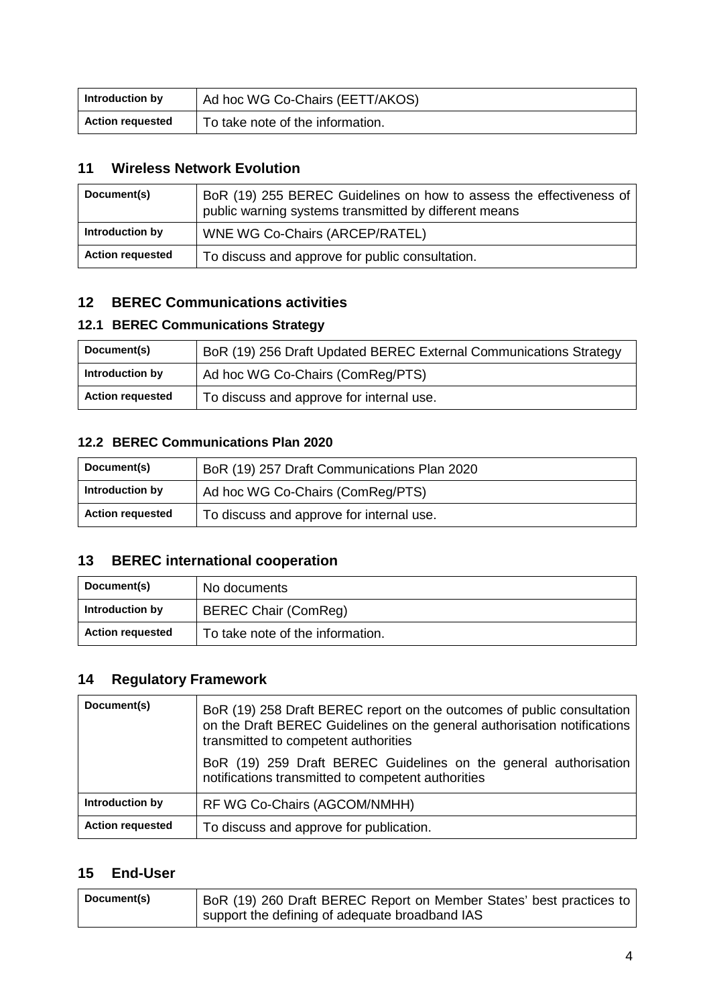| Introduction by         | Ad hoc WG Co-Chairs (EETT/AKOS)  |
|-------------------------|----------------------------------|
| <b>Action requested</b> | To take note of the information. |

#### **11 Wireless Network Evolution**

| Document(s)             | BoR (19) 255 BEREC Guidelines on how to assess the effectiveness of<br>public warning systems transmitted by different means |
|-------------------------|------------------------------------------------------------------------------------------------------------------------------|
| Introduction by         | <b>WNE WG Co-Chairs (ARCEP/RATEL)</b>                                                                                        |
| <b>Action requested</b> | To discuss and approve for public consultation.                                                                              |

#### **12 BEREC Communications activities**

#### **12.1 BEREC Communications Strategy**

| Document(s)             | BoR (19) 256 Draft Updated BEREC External Communications Strategy |
|-------------------------|-------------------------------------------------------------------|
| Introduction by         | Ad hoc WG Co-Chairs (ComReg/PTS)                                  |
| <b>Action requested</b> | To discuss and approve for internal use.                          |

#### **12.2 BEREC Communications Plan 2020**

| Document(s)             | BoR (19) 257 Draft Communications Plan 2020 |
|-------------------------|---------------------------------------------|
| Introduction by         | Ad hoc WG Co-Chairs (ComReg/PTS)            |
| <b>Action requested</b> | To discuss and approve for internal use.    |

#### **13 BEREC international cooperation**

| Document(s)             | No documents                     |
|-------------------------|----------------------------------|
| Introduction by         | <b>BEREC Chair (ComReg)</b>      |
| <b>Action requested</b> | To take note of the information. |

# **14 Regulatory Framework**

| Document(s)             | BoR (19) 258 Draft BEREC report on the outcomes of public consultation<br>on the Draft BEREC Guidelines on the general authorisation notifications<br>transmitted to competent authorities |
|-------------------------|--------------------------------------------------------------------------------------------------------------------------------------------------------------------------------------------|
|                         | BoR (19) 259 Draft BEREC Guidelines on the general authorisation<br>notifications transmitted to competent authorities                                                                     |
| Introduction by         | RF WG Co-Chairs (AGCOM/NMHH)                                                                                                                                                               |
| <b>Action requested</b> | To discuss and approve for publication.                                                                                                                                                    |

#### **15 End-User**

| Document(s) | BoR (19) 260 Draft BEREC Report on Member States' best practices to |
|-------------|---------------------------------------------------------------------|
|             | support the defining of adequate broadband IAS                      |